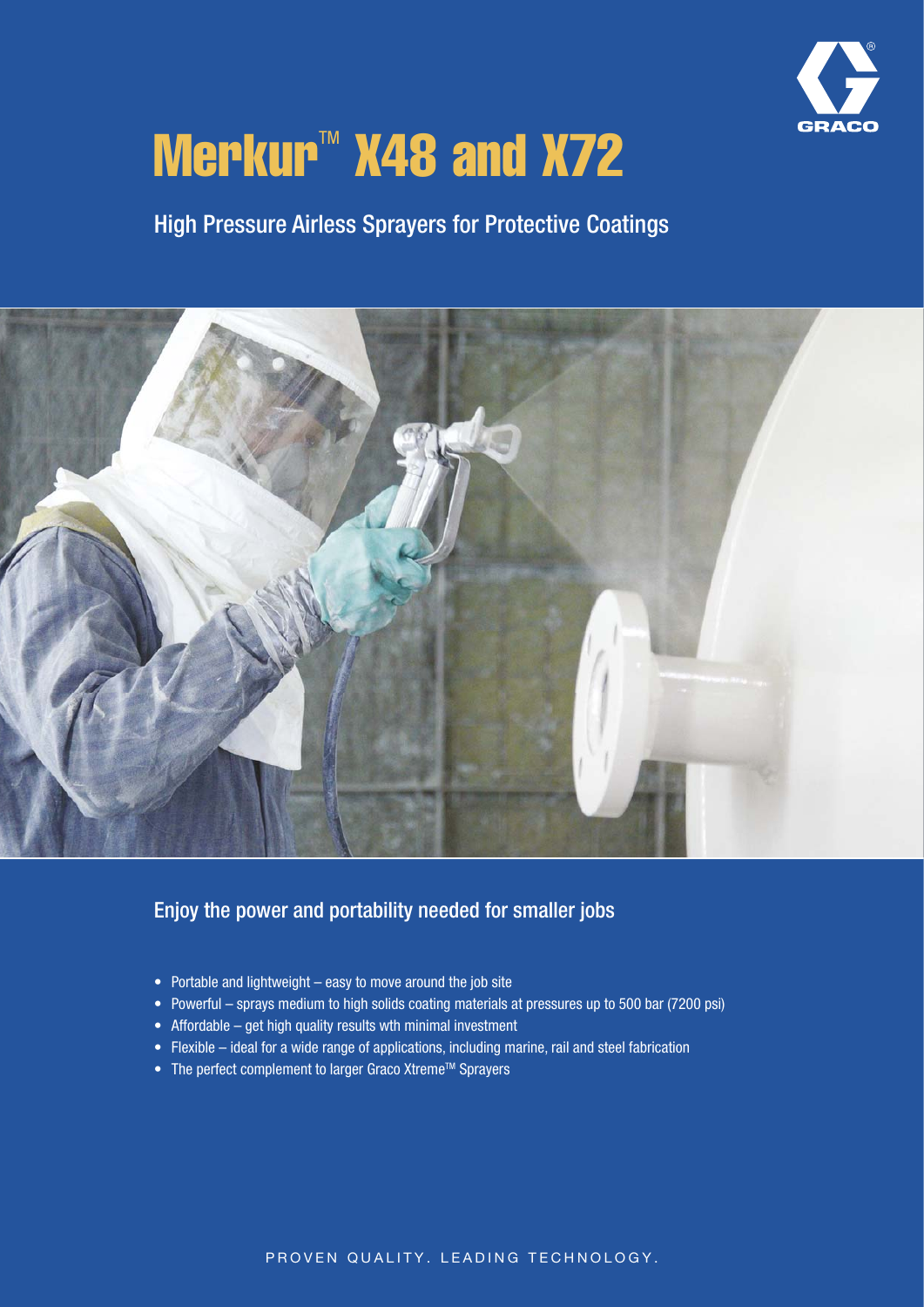

# Merkur<sup>M</sup> X48 and X72

High Pressure Airless Sprayers for Protective Coatings



#### Enjoy the power and portability needed for smaller jobs

- Portable and lightweight easy to move around the job site
- Powerful sprays medium to high solids coating materials at pressures up to 500 bar (7200 psi)
- Affordable get high quality results wth minimal investment
- Flexible ideal for a wide range of applications, including marine, rail and steel fabrication
- The perfect complement to larger Graco Xtreme™ Sprayers